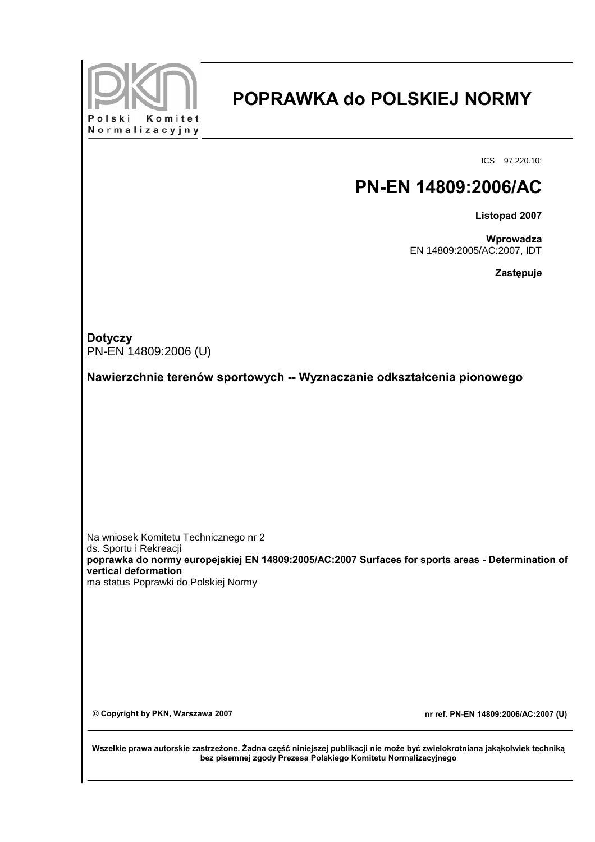

## **POPRAWKA do POLSKIEJ NORMY**

ICS 97.220.10;

## **PN-EN 14809:2006/AC**

**Listopad 2007**

**Wprowadza** EN 14809:2005/AC:2007, IDT

**Zastępuje**

**Dotyczy** PN-EN 14809:2006 (U)

**Nawierzchnie terenów sportowych -- Wyznaczanie odkształcenia pionowego**

Na wniosek Komitetu Technicznego nr 2 ds. Sportu i Rekreacji **poprawka do normy europejskiej EN 14809:2005/AC:2007 Surfaces for sports areas - Determination of vertical deformation** ma status Poprawki do Polskiej Normy

**© Copyright by PKN, Warszawa 2007 nr ref. PN-EN 14809:2006/AC:2007 (U)**

**Wszelkie prawa autorskie zastrzeżone. Żadna część niniejszej publikacji nie może być zwielokrotniana jakąkolwiek techniką bez pisemnej zgody Prezesa Polskiego Komitetu Normalizacyjnego**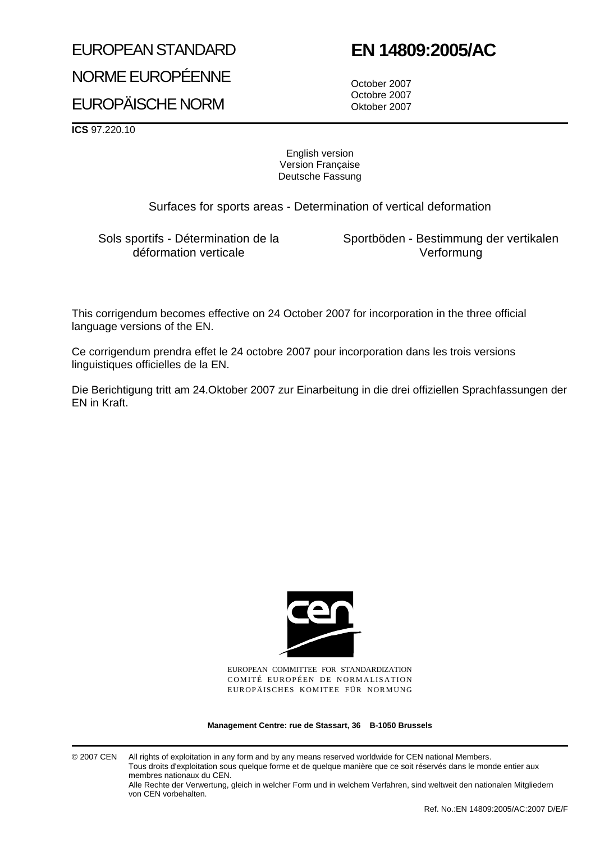# EUROPEAN STANDARD NORME EUROPÉENNE

## **EN 14809:2005/AC**

EUROPÄISCHE NORM

October 2007 Octobre 2007 Oktober 2007

**ICS** 97.220.10

#### English version Version Française Deutsche Fassung

Surfaces for sports areas - Determination of vertical deformation

Sols sportifs - Détermination de la déformation verticale

Sportböden - Bestimmung der vertikalen Verformung

This corrigendum becomes effective on 24 October 2007 for incorporation in the three official language versions of the EN.

Ce corrigendum prendra effet le 24 octobre 2007 pour incorporation dans les trois versions linguistiques officielles de la EN.

Die Berichtigung tritt am 24.Oktober 2007 zur Einarbeitung in die drei offiziellen Sprachfassungen der EN in Kraft.



EUROPEAN COMMITTEE FOR STANDARDIZATION COMITÉ EUROPÉEN DE NORMALISATION EUROPÄISCHES KOMITEE FÜR NORMUNG

**Management Centre: rue de Stassart, 36 B-1050 Brussels**

© 2007 CEN All rights of exploitation in any form and by any means reserved worldwide for CEN national Members. Tous droits d'exploitation sous quelque forme et de quelque manière que ce soit réservés dans le monde entier aux membres nationaux du CEN.

Alle Rechte der Verwertung, gleich in welcher Form und in welchem Verfahren, sind weltweit den nationalen Mitgliedern von CEN vorbehalten.